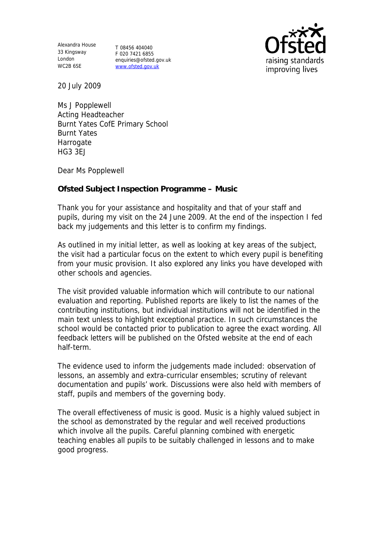Alexandra House 33 Kingsway London WC2B 6SE

T 08456 404040 F 020 7421 6855 enquiries@ofsted.gov.uk www.ofsted.gov.uk



20 July 2009

Ms J Popplewell Acting Headteacher Burnt Yates CofE Primary School Burnt Yates Harrogate HG3 3EJ

Dear Ms Popplewell

**Ofsted Subject Inspection Programme – Music**

Thank you for your assistance and hospitality and that of your staff and pupils, during my visit on the 24 June 2009. At the end of the inspection I fed back my judgements and this letter is to confirm my findings.

As outlined in my initial letter, as well as looking at key areas of the subject, the visit had a particular focus on the extent to which every pupil is benefiting from your music provision. It also explored any links you have developed with other schools and agencies.

The visit provided valuable information which will contribute to our national evaluation and reporting. Published reports are likely to list the names of the contributing institutions, but individual institutions will not be identified in the main text unless to highlight exceptional practice. In such circumstances the school would be contacted prior to publication to agree the exact wording. All feedback letters will be published on the Ofsted website at the end of each half-term.

The evidence used to inform the judgements made included: observation of lessons, an assembly and extra-curricular ensembles; scrutiny of relevant documentation and pupils' work. Discussions were also held with members of staff, pupils and members of the governing body.

The overall effectiveness of music is good. Music is a highly valued subject in the school as demonstrated by the regular and well received productions which involve all the pupils. Careful planning combined with energetic teaching enables all pupils to be suitably challenged in lessons and to make good progress.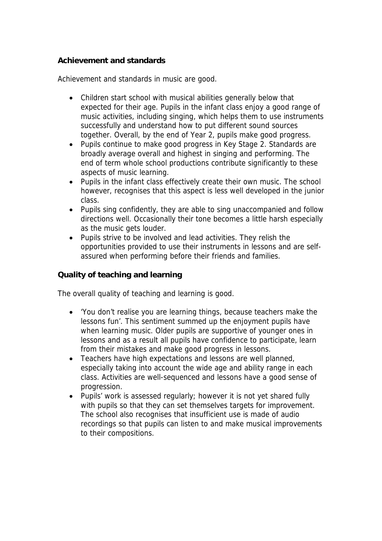## **Achievement and standards**

Achievement and standards in music are good.

- Children start school with musical abilities generally below that expected for their age. Pupils in the infant class enjoy a good range of music activities, including singing, which helps them to use instruments successfully and understand how to put different sound sources together. Overall, by the end of Year 2, pupils make good progress.
- Pupils continue to make good progress in Key Stage 2. Standards are broadly average overall and highest in singing and performing. The end of term whole school productions contribute significantly to these aspects of music learning.
- Pupils in the infant class effectively create their own music. The school however, recognises that this aspect is less well developed in the junior class.
- Pupils sing confidently, they are able to sing unaccompanied and follow directions well. Occasionally their tone becomes a little harsh especially as the music gets louder.
- Pupils strive to be involved and lead activities. They relish the opportunities provided to use their instruments in lessons and are selfassured when performing before their friends and families.

**Quality of teaching and learning**

The overall quality of teaching and learning is good.

- 'You don't realise you are learning things, because teachers make the lessons fun'. This sentiment summed up the enjoyment pupils have when learning music. Older pupils are supportive of younger ones in lessons and as a result all pupils have confidence to participate, learn from their mistakes and make good progress in lessons.
- Teachers have high expectations and lessons are well planned, especially taking into account the wide age and ability range in each class. Activities are well-sequenced and lessons have a good sense of progression.
- Pupils' work is assessed regularly; however it is not yet shared fully with pupils so that they can set themselves targets for improvement. The school also recognises that insufficient use is made of audio recordings so that pupils can listen to and make musical improvements to their compositions.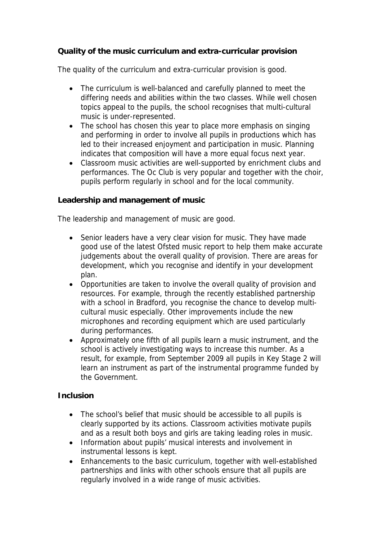**Quality of the music curriculum and extra-curricular provision**

The quality of the curriculum and extra-curricular provision is good.

- The curriculum is well-balanced and carefully planned to meet the differing needs and abilities within the two classes. While well chosen topics appeal to the pupils, the school recognises that multi-cultural music is under-represented.
- The school has chosen this year to place more emphasis on singing and performing in order to involve all pupils in productions which has led to their increased enjoyment and participation in music. Planning indicates that composition will have a more equal focus next year.
- Classroom music activities are well-supported by enrichment clubs and performances. The Oc Club is very popular and together with the choir, pupils perform regularly in school and for the local community.

**Leadership and management of music**

The leadership and management of music are good.

- Senior leaders have a very clear vision for music. They have made good use of the latest Ofsted music report to help them make accurate judgements about the overall quality of provision. There are areas for development, which you recognise and identify in your development plan.
- Opportunities are taken to involve the overall quality of provision and resources. For example, through the recently established partnership with a school in Bradford, you recognise the chance to develop multicultural music especially. Other improvements include the new microphones and recording equipment which are used particularly during performances.
- Approximately one fifth of all pupils learn a music instrument, and the school is actively investigating ways to increase this number. As a result, for example, from September 2009 all pupils in Key Stage 2 will learn an instrument as part of the instrumental programme funded by the Government.

## **Inclusion**

- The school's belief that music should be accessible to all pupils is clearly supported by its actions. Classroom activities motivate pupils and as a result both boys and girls are taking leading roles in music.
- Information about pupils' musical interests and involvement in instrumental lessons is kept.
- Enhancements to the basic curriculum, together with well-established partnerships and links with other schools ensure that all pupils are regularly involved in a wide range of music activities.